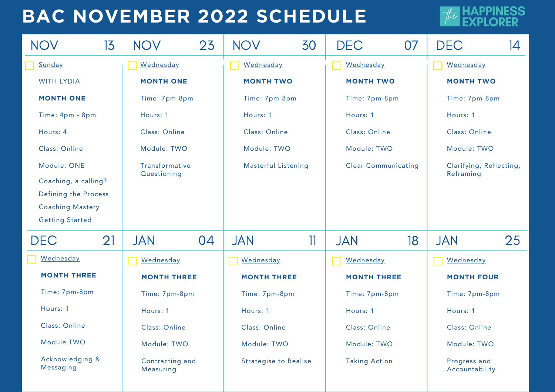### **BAC NOVEMBER 2022 SCHEDULE**

**ESS** 

| <b>NOV</b>                                      | 13 | <b>NOV</b>                   | 23 | <b>NOV</b>                   | 30 | <b>DEC</b>                 | 07                             | <b>DEC</b>              | 14 |
|-------------------------------------------------|----|------------------------------|----|------------------------------|----|----------------------------|--------------------------------|-------------------------|----|
| Sunday                                          |    | Wednesday                    |    | Wednesday                    |    | Wednesday                  |                                | Wednesday               |    |
| <b>WITH LYDIA</b>                               |    | <b>MONTH ONE</b>             |    | <b>MONTH TWO</b>             |    | <b>MONTH TWO</b>           |                                | <b>MONTH TWO</b>        |    |
| <b>MONTH ONE</b>                                |    | Time: 7pm-8pm                |    | Time: 7pm-8pm                |    | Time: 7pm-8pm              |                                | Time: 7pm-8pm           |    |
| Time: 4pm - 8pm                                 |    | Hours: 1                     |    | Hours: 1                     |    | Hours: 1                   |                                | Hours: 1                |    |
| Hours: 4                                        |    | Class: Online                |    | Class: Online                |    | Class: Online              |                                | Class: Online           |    |
| Class: Online                                   |    | Module: TWO                  |    | Module: TWO                  |    | Module: TWO                |                                | Module: TWO             |    |
| Module: ONE                                     |    | Transformative               |    | <b>Masterful Listening</b>   |    | <b>Clear Communicating</b> |                                | Clarifying, Reflecting, |    |
| Coaching, a calling?                            |    | Questioning                  |    |                              |    |                            |                                | Reframing               |    |
| Defining the Process<br><b>Coaching Mastery</b> |    |                              |    |                              |    |                            |                                |                         |    |
| <b>Getting Started</b>                          |    |                              |    |                              |    |                            |                                |                         |    |
| <b>DEC</b>                                      | 21 | JAN                          | 04 | <b>JAN</b>                   | 11 | <b>JAN</b>                 | 18                             | <b>JAN</b>              | 25 |
| Wednesday                                       |    | Wednesday                    |    | <b>Wednesday</b>             |    | <b>Wednesday</b>           |                                | Wednesday               |    |
| <b>MONTH THREE</b>                              |    | <b>MONTH THREE</b>           |    | <b>MONTH THREE</b>           |    | <b>MONTH THREE</b>         |                                | <b>MONTH FOUR</b>       |    |
| Time: 7pm-8pm                                   |    | Time: 7pm-8pm                |    | Time: 7pm-8pm                |    | Time: 7pm-8pm              |                                | Time: 7pm-8pm           |    |
| Hours: 1                                        |    | Hours: 1                     |    | Hours: 1                     |    | Hours: 1                   |                                | Hours: 1                |    |
| Class: Online                                   |    | Class: Online                |    | Class: Online                |    | Class: Online              |                                | Class: Online           |    |
| Module TWO                                      |    | Module: TWO                  |    | Module: TWO                  |    | Module: TWO                |                                | Module: TWO             |    |
| Acknowledging &<br>Messaging                    |    | Contracting and<br>Measuring |    | <b>Strategise to Realise</b> |    | <b>Taking Action</b>       | Progress and<br>Accountability |                         |    |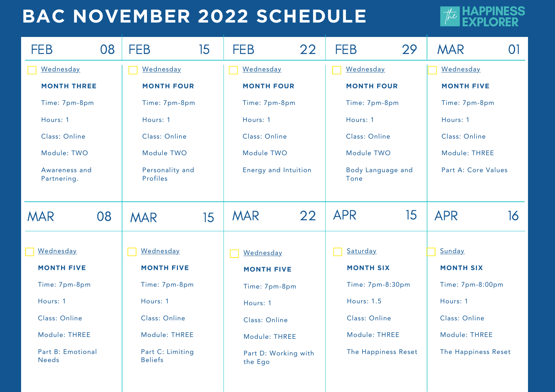### **BAC NOVEMBER 2022 SCHEDULE**



| <b>FEB</b>                        | 08            | <b>FEB</b>                         | 15            | <b>FEB</b>                      | 22            | <b>FEB</b>                | 29                  | <b>MAR</b>          | $\Omega$         |  |
|-----------------------------------|---------------|------------------------------------|---------------|---------------------------------|---------------|---------------------------|---------------------|---------------------|------------------|--|
| <b>Wednesday</b>                  |               | <b>Wednesday</b>                   |               | <b>Wednesday</b>                |               | Wednesday                 |                     | Wednesday           |                  |  |
| <b>MONTH THREE</b>                |               | <b>MONTH FOUR</b>                  |               | <b>MONTH FOUR</b>               |               | <b>MONTH FOUR</b>         |                     | <b>MONTH FIVE</b>   |                  |  |
| Time: 7pm-8pm                     |               | Time: 7pm-8pm                      |               | Time: 7pm-8pm                   |               | Time: 7pm-8pm             |                     | Time: 7pm-8pm       |                  |  |
| Hours: 1                          |               | Hours: 1                           |               | Hours: 1                        |               | Hours: 1                  |                     | Hours: 1            |                  |  |
| Class: Online                     | Class: Online |                                    | Class: Online |                                 | Class: Online |                           | Class: Online       |                     |                  |  |
| Module: TWO                       | Module TWO    |                                    | Module TWO    |                                 | Module TWO    |                           | Module: THREE       |                     |                  |  |
| Awareness and<br>Partnering.      |               | Personality and<br>Profiles        |               | Energy and Intuition            |               | Body Language and<br>Tone |                     | Part A: Core Values |                  |  |
| <b>MAR</b>                        | 08            | <b>MAR</b>                         | 15            | <b>MAR</b>                      | 22            | <b>APR</b>                | 15                  | <b>APR</b>          | 16               |  |
| Wednesday                         |               | Wednesday                          |               | Wednesday                       |               | Saturday                  |                     | Sunday              |                  |  |
| <b>MONTH FIVE</b>                 |               | <b>MONTH FIVE</b>                  |               | <b>MONTH FIVE</b>               |               | <b>MONTH SIX</b>          |                     | <b>MONTH SIX</b>    |                  |  |
| Time: 7pm-8pm                     |               | Time: 7pm-8pm                      |               |                                 | Time: 7pm-8pm |                           | Time: 7pm-8:30pm    |                     | Time: 7pm-8:00pm |  |
| Hours: 1                          |               | Hours: 1                           |               | Hours: 1                        |               | <b>Hours: 1.5</b>         |                     | Hours: 1            |                  |  |
| Class: Online                     |               | Class: Online                      |               | Class: Online                   |               | Class: Online             |                     | Class: Online       |                  |  |
| Module: THREE                     | Module: THREE |                                    | Module: THREE |                                 | Module: THREE |                           | Module: THREE       |                     |                  |  |
| Part B: Emotional<br><b>Needs</b> |               | Part C: Limiting<br><b>Beliefs</b> |               | Part D: Working with<br>the Ego |               |                           | The Happiness Reset | The Happiness Reset |                  |  |